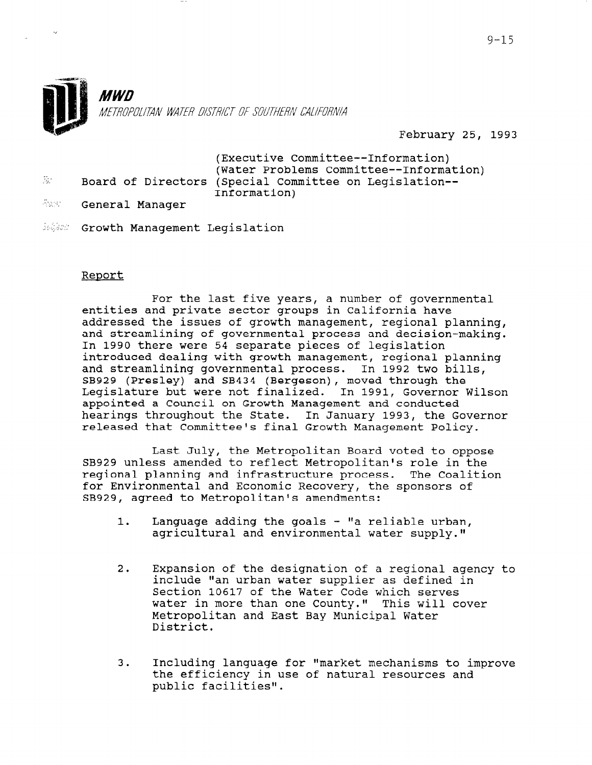

## February 25, 1993

|                  |  | (Executive Committee--Information)                     |
|------------------|--|--------------------------------------------------------|
|                  |  | (Water Problems Committee--Information)                |
| $\overline{g}$ . |  | Board of Directors (Special Committee on Legislation-- |
|                  |  | Information)                                           |

**June : General Manager** 

 $\mathbf{r}$ 

10,000 Growth Management Legislation

## Report

For the last five years, a number of governmental entities and private sector groups in California have addressed the issues of growth management, regional planning, and streamlining of governmental process and decision-making. In 1990 there were 54 separate pieces of legislation introduced dealing with growth management, regional planning and streamlining governmental process. In 1992 two bills, SB929 (Presley) and SB434 (Bergeson), moved through the Legislature but were not finalized. In 1991, Governor Wilson appointed a Council on Growth Management and conducted hearings throughout the State. In January 1993, the Governor released that Committee's final Growth Management Policy.

Last July, the Metropolitan Board voted to oppose SB929 unless amended to reflect Metropolitan's role in the regional planning and infrastructure process. The Coalition for Environmental and Economic Recovery, the sponsors of SB929, agreed to Metropolitan's amendments:

- 1. Language adding the goals  $-$  "a reliable urban,  $a$ gricultural and environmental water supply."
- 2. Expansion of the designation of a regional agency to na urban and the designation of a regional age.<br>Include the urban water supplier as defined in include "an urban water supplier as defined in<br>Section 10617 of the Water Code which serves bection foot, of the water tode which serves water in more than one county." This will Metropolitan and East Bay Municipal Water<br>District.
- 3. Including language for "market mechanisms to improve including language for "market mechanisms to i the efficiency in use of natural resources and public facilities".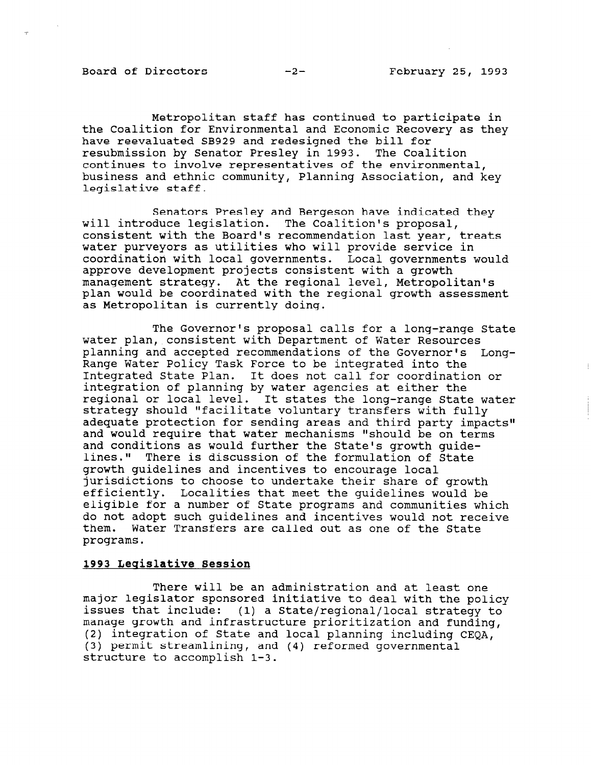Board of Directors -2- February 25, 1993

Metropolitan staff has continued to participate in the Coalition for Environmental and Economic Recovery as they have reevaluated SB929 and redesigned the bill for resubmission by Senator Presley in 1993. The Coalition continues to involve representatives of the environmental, business and ethnic community, Planning Association, and key legislative staff.

Senators Presley and Bergeson have indicated they will introduce legislation. The Coalition's proposal, consistent with the Board's recommendation last year, treats water purveyors as utilities who will provide service in coordination with local governments. Local governments would approve development projects consistent with a growth management strategy. At the regional level, Metropolitan's plan would be coordinated with the regional growth assessment as Metropolitan is currently doing.

The Governor's proposal calls for a long-range State water plan, consistent with Department of Water Resources planning and accepted recommendations of the Governor's Long-Range Water Policy Task Force to be integrated into the Integrated State Plan. It does not call for coordination or integration of planning by water agencies at either the regional or local level. It states the long-range State water strategy should "facilitate voluntary transfers with fully adequate protection for sending areas and third party impacts" and would require that water mechanisms "should be on terms and conditions as would further the State's growth guidelines." There is discussion of the formulation of State growth guidelines and incentives to encourage local jurisdictions to choose to undertake their share of growth efficiently. Localities that meet the guidelines would be eligible for a number of State programs and communities which do not adopt such guidelines and incentives would not receive them. Water Transfers are called out as one of the State programs.

## 1993 Leqislative Session

 $m_{\text{beam}}$  will be an administration and  $\sigma$  at least  $\sigma$ major legislator sponsored initiative to deal with the policy of the policy of the policy of the policy of the policy of the policy of the policy of the policy of the policy of the policy of the policy of the policy of the major regisiator sponsored initiative to deal with the polic manage growth and infrastructure prioritization and funding, including, including,  $\frac{1}{2}$ manage growth and infrastructure prioritization and funding, (2) integration of State and local planning including  $CEOA$ , (3) permit streamlining, and  $(4)$  reformed governmental structure to accomplish  $1-3$ .